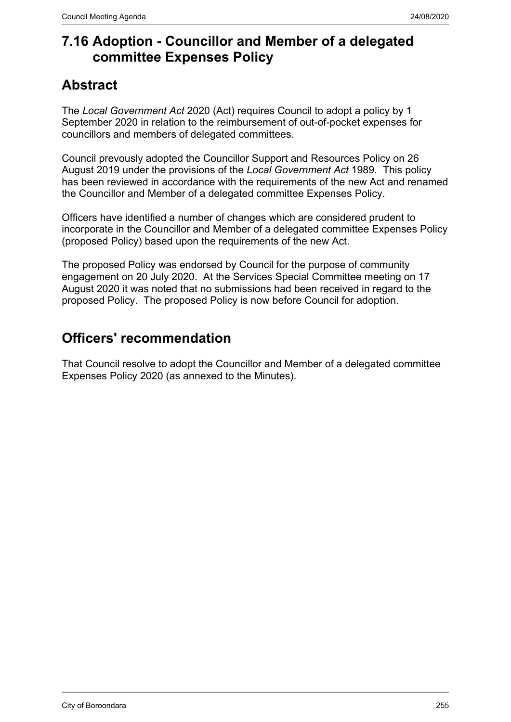## **7.16 Adoption - Councillor and Member of a delegated committee Expenses Policy**

# **Abstract**

The *Local Government Act* 2020 (Act) requires Council to adopt a policy by 1 September 2020 in relation to the reimbursement of out-of-pocket expenses for councillors and members of delegated committees.

Council prevously adopted the Councillor Support and Resources Policy on 26 August 2019 under the provisions of the *Local Government Act* 1989. This policy has been reviewed in accordance with the requirements of the new Act and renamed the Councillor and Member of a delegated committee Expenses Policy.

Officers have identified a number of changes which are considered prudent to incorporate in the Councillor and Member of a delegated committee Expenses Policy (proposed Policy) based upon the requirements of the new Act.

The proposed Policy was endorsed by Council for the purpose of community engagement on 20 July 2020. At the Services Special Committee meeting on 17 August 2020 it was noted that no submissions had been received in regard to the proposed Policy. The proposed Policy is now before Council for adoption.

# **Officers' recommendation**

That Council resolve to adopt the Councillor and Member of a delegated committee Expenses Policy 2020 (as annexed to the Minutes).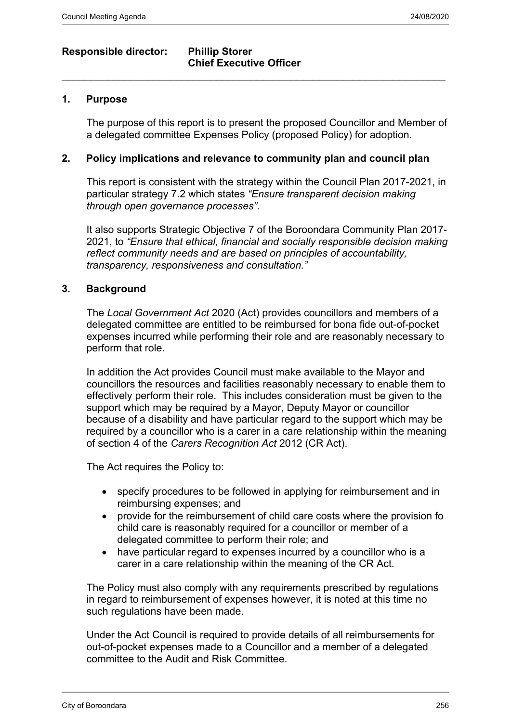## **Responsible director: Phillip Storer**

# **Chief Executive Officer**

 $\_$  , and the set of the set of the set of the set of the set of the set of the set of the set of the set of the set of the set of the set of the set of the set of the set of the set of the set of the set of the set of th

#### **1. Purpose**

The purpose of this report is to present the proposed Councillor and Member of a delegated committee Expenses Policy (proposed Policy) for adoption.

#### **2. Policy implications and relevance to community plan and council plan**

This report is consistent with the strategy within the Council Plan 2017-2021, in particular strategy 7.2 which states *"Ensure transparent decision making through open governance processes".*

It also supports Strategic Objective 7 of the Boroondara Community Plan 2017- 2021, to *"Ensure that ethical, financial and socially responsible decision making reflect community needs and are based on principles of accountability, transparency, responsiveness and consultation."*

#### **3. Background**

The *Local Government Act* 2020 (Act) provides councillors and members of a delegated committee are entitled to be reimbursed for bona fide out-of-pocket expenses incurred while performing their role and are reasonably necessary to perform that role.

In addition the Act provides Council must make available to the Mayor and councillors the resources and facilities reasonably necessary to enable them to effectively perform their role. This includes consideration must be given to the support which may be required by a Mayor, Deputy Mayor or councillor because of a disability and have particular regard to the support which may be required by a councillor who is a carer in a care relationship within the meaning of section 4 of the *Carers Recognition Act* 2012 (CR Act).

The Act requires the Policy to:

- specify procedures to be followed in applying for reimbursement and in reimbursing expenses; and
- provide for the reimbursement of child care costs where the provision fo child care is reasonably required for a councillor or member of a delegated committee to perform their role; and
- have particular regard to expenses incurred by a councillor who is a carer in a care relationship within the meaning of the CR Act.

The Policy must also comply with any requirements prescribed by regulations in regard to reimbursement of expenses however, it is noted at this time no such regulations have been made.

Under the Act Council is required to provide details of all reimbursements for out-of-pocket expenses made to a Councillor and a member of a delegated committee to the Audit and Risk Committee.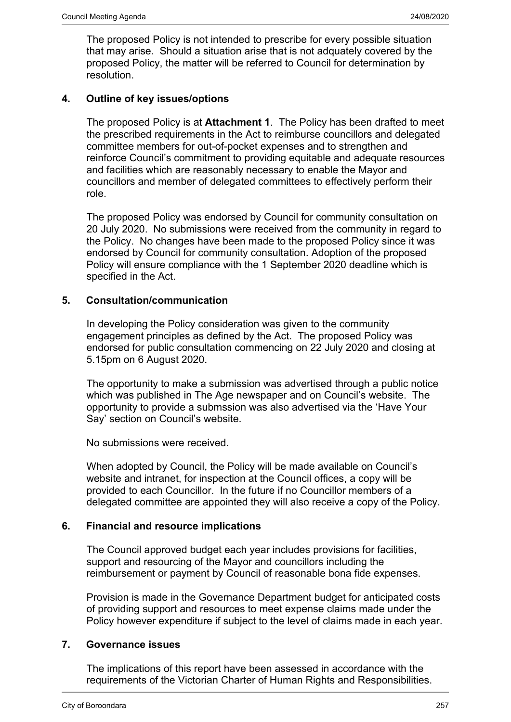The proposed Policy is not intended to prescribe for every possible situation that may arise. Should a situation arise that is not adquately covered by the proposed Policy, the matter will be referred to Council for determination by resolution.

#### **4. Outline of key issues/options**

The proposed Policy is at **Attachment 1**. The Policy has been drafted to meet the prescribed requirements in the Act to reimburse councillors and delegated committee members for out-of-pocket expenses and to strengthen and reinforce Council's commitment to providing equitable and adequate resources and facilities which are reasonably necessary to enable the Mayor and councillors and member of delegated committees to effectively perform their role.

The proposed Policy was endorsed by Council for community consultation on 20 July 2020. No submissions were received from the community in regard to the Policy. No changes have been made to the proposed Policy since it was endorsed by Council for community consultation. Adoption of the proposed Policy will ensure compliance with the 1 September 2020 deadline which is specified in the Act.

#### **5. Consultation/communication**

In developing the Policy consideration was given to the community engagement principles as defined by the Act. The proposed Policy was endorsed for public consultation commencing on 22 July 2020 and closing at 5.15pm on 6 August 2020.

The opportunity to make a submission was advertised through a public notice which was published in The Age newspaper and on Council's website. The opportunity to provide a submssion was also advertised via the 'Have Your Say' section on Council's website.

No submissions were received.

When adopted by Council, the Policy will be made available on Council's website and intranet, for inspection at the Council offices, a copy will be provided to each Councillor. In the future if no Councillor members of a delegated committee are appointed they will also receive a copy of the Policy.

#### **6. Financial and resource implications**

The Council approved budget each year includes provisions for facilities, support and resourcing of the Mayor and councillors including the reimbursement or payment by Council of reasonable bona fide expenses.

Provision is made in the Governance Department budget for anticipated costs of providing support and resources to meet expense claims made under the Policy however expenditure if subject to the level of claims made in each year.

#### **7. Governance issues**

The implications of this report have been assessed in accordance with the requirements of the Victorian Charter of Human Rights and Responsibilities.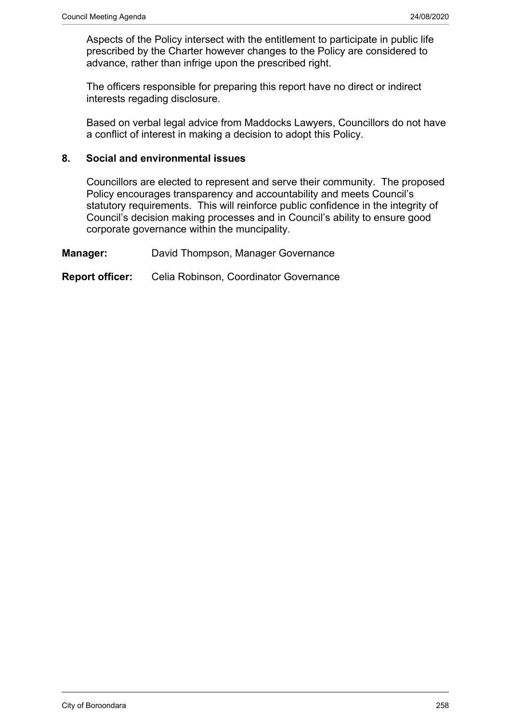Aspects of the Policy intersect with the entitlement to participate in public life prescribed by the Charter however changes to the Policy are considered to advance, rather than infrige upon the prescribed right.

The officers responsible for preparing this report have no direct or indirect interests regading disclosure.

Based on verbal legal advice from Maddocks Lawyers, Councillors do not have a conflict of interest in making a decision to adopt this Policy.

#### **8. Social and environmental issues**

Councillors are elected to represent and serve their community. The proposed Policy encourages transparency and accountability and meets Council's statutory requirements. This will reinforce public confidence in the integrity of Council's decision making processes and in Council's ability to ensure good corporate governance within the muncipality.

**Manager:** David Thompson, Manager Governance

**Report officer:** Celia Robinson, Coordinator Governance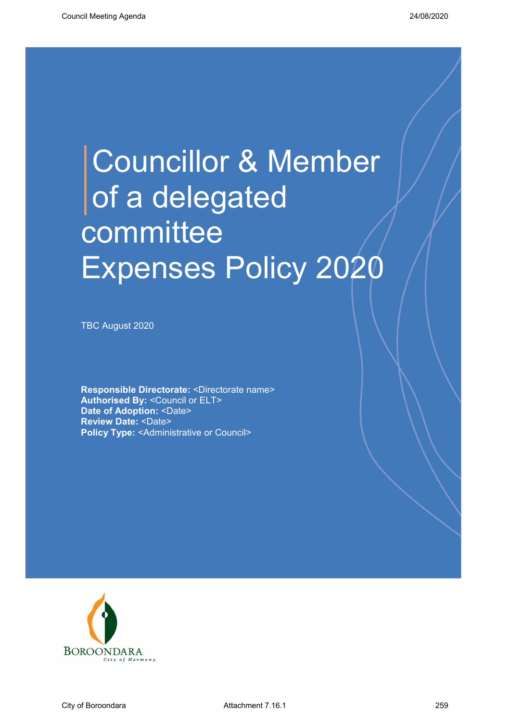# Councillor & Member of a delegated committee Expenses Policy 2020

TBC August 2020

**Responsible Directorate:** <Directorate name> **Authorised By:** <Council or ELT> **Date of Adoption: <Date> Review Date:** <Date> **Policy Type:** <Administrative or Council>

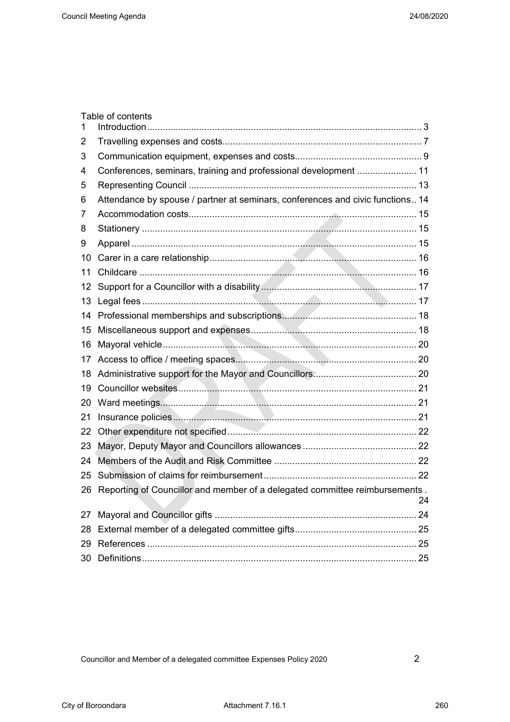| 1  | Table of contents                                                              |    |
|----|--------------------------------------------------------------------------------|----|
| 2  |                                                                                |    |
| 3  |                                                                                |    |
| 4  | Conferences, seminars, training and professional development  11               |    |
| 5  |                                                                                |    |
| 6  | Attendance by spouse / partner at seminars, conferences and civic functions 14 |    |
| 7  |                                                                                |    |
| 8  |                                                                                |    |
| 9  |                                                                                |    |
| 10 |                                                                                |    |
| 11 |                                                                                |    |
| 12 |                                                                                |    |
| 13 |                                                                                |    |
|    |                                                                                |    |
| 15 |                                                                                |    |
| 16 |                                                                                |    |
| 17 |                                                                                |    |
| 18 |                                                                                |    |
| 19 |                                                                                |    |
| 20 |                                                                                |    |
| 21 |                                                                                |    |
| 22 |                                                                                |    |
| 23 |                                                                                |    |
| 24 |                                                                                |    |
| 25 |                                                                                |    |
| 26 | Reporting of Councillor and member of a delegated committee reimbursements.    | 24 |
| 27 |                                                                                | 24 |
| 28 |                                                                                |    |
| 29 |                                                                                |    |
|    |                                                                                |    |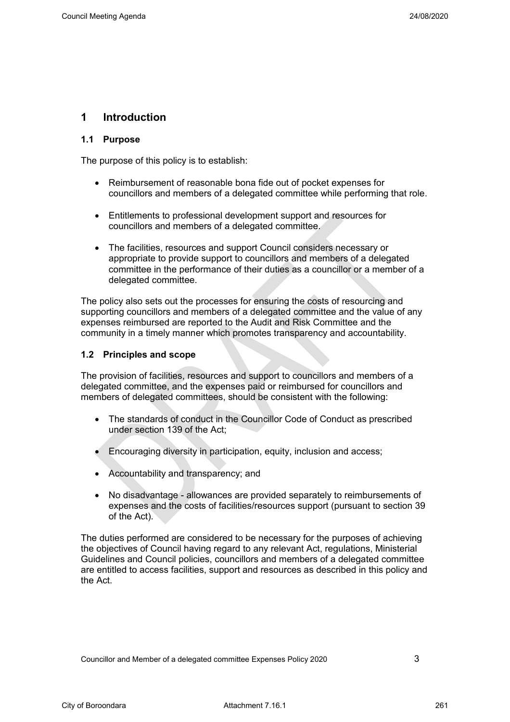#### <span id="page-6-0"></span>**1 Introduction**

#### **1.1 Purpose**

The purpose of this policy is to establish:

- Reimbursement of reasonable bona fide out of pocket expenses for councillors and members of a delegated committee while performing that role.
- Entitlements to professional development support and resources for councillors and members of a delegated committee.
- The facilities, resources and support Council considers necessary or appropriate to provide support to councillors and members of a delegated committee in the performance of their duties as a councillor or a member of a delegated committee.

The policy also sets out the processes for ensuring the costs of resourcing and supporting councillors and members of a delegated committee and the value of any expenses reimbursed are reported to the Audit and Risk Committee and the community in a timely manner which promotes transparency and accountability.

#### **1.2 Principles and scope**

The provision of facilities, resources and support to councillors and members of a delegated committee, and the expenses paid or reimbursed for councillors and members of delegated committees, should be consistent with the following:

- The standards of conduct in the Councillor Code of Conduct as prescribed under section 139 of the Act;
- Encouraging diversity in participation, equity, inclusion and access;
- Accountability and transparency; and
- No disadvantage allowances are provided separately to reimbursements of expenses and the costs of facilities/resources support (pursuant to section 39 of the Act).

The duties performed are considered to be necessary for the purposes of achieving the objectives of Council having regard to any relevant Act, regulations, Ministerial Guidelines and Council policies, councillors and members of a delegated committee are entitled to access facilities, support and resources as described in this policy and the Act.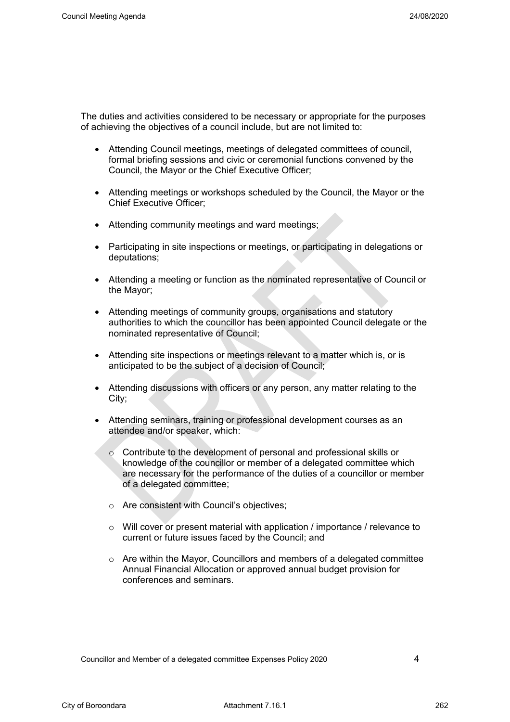The duties and activities considered to be necessary or appropriate for the purposes of achieving the objectives of a council include, but are not limited to:

- Attending Council meetings, meetings of delegated committees of council, formal briefing sessions and civic or ceremonial functions convened by the Council, the Mayor or the Chief Executive Officer;
- Attending meetings or workshops scheduled by the Council, the Mayor or the Chief Executive Officer;
- Attending community meetings and ward meetings;
- Participating in site inspections or meetings, or participating in delegations or deputations;
- Attending a meeting or function as the nominated representative of Council or the Mayor;
- Attending meetings of community groups, organisations and statutory authorities to which the councillor has been appointed Council delegate or the nominated representative of Council;
- Attending site inspections or meetings relevant to a matter which is, or is anticipated to be the subject of a decision of Council;
- Attending discussions with officers or any person, any matter relating to the City;
- Attending seminars, training or professional development courses as an attendee and/or speaker, which:
	- o Contribute to the development of personal and professional skills or knowledge of the councillor or member of a delegated committee which are necessary for the performance of the duties of a councillor or member of a delegated committee;
	- o Are consistent with Council's objectives;
	- $\circ$  Will cover or present material with application / importance / relevance to current or future issues faced by the Council; and
	- o Are within the Mayor, Councillors and members of a delegated committee Annual Financial Allocation or approved annual budget provision for conferences and seminars.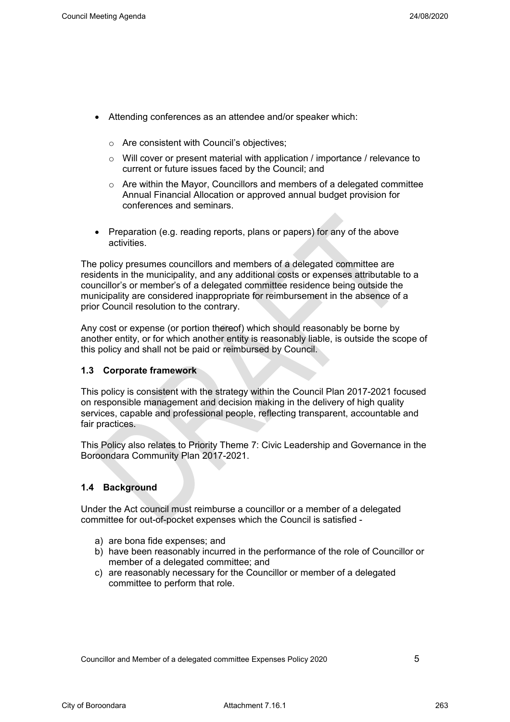- Attending conferences as an attendee and/or speaker which:
	- o Are consistent with Council's objectives;
	- $\circ$  Will cover or present material with application / importance / relevance to current or future issues faced by the Council; and
	- $\circ$  Are within the Mayor, Councillors and members of a delegated committee Annual Financial Allocation or approved annual budget provision for conferences and seminars.
- Preparation (e.g. reading reports, plans or papers) for any of the above activities.

The policy presumes councillors and members of a delegated committee are residents in the municipality, and any additional costs or expenses attributable to a councillor's or member's of a delegated committee residence being outside the municipality are considered inappropriate for reimbursement in the absence of a prior Council resolution to the contrary.

Any cost or expense (or portion thereof) which should reasonably be borne by another entity, or for which another entity is reasonably liable, is outside the scope of this policy and shall not be paid or reimbursed by Council.

#### **1.3 Corporate framework**

This policy is consistent with the strategy within the Council Plan 2017-2021 focused on responsible management and decision making in the delivery of high quality services, capable and professional people, reflecting transparent, accountable and fair practices.

This Policy also relates to Priority Theme 7: Civic Leadership and Governance in the Boroondara Community Plan 2017-2021.

#### **1.4 Background**

Under the Act council must reimburse a councillor or a member of a delegated committee for out-of-pocket expenses which the Council is satisfied -

- a) are bona fide expenses; and
- b) have been reasonably incurred in the performance of the role of Councillor or member of a delegated committee; and
- c) are reasonably necessary for the Councillor or member of a delegated committee to perform that role.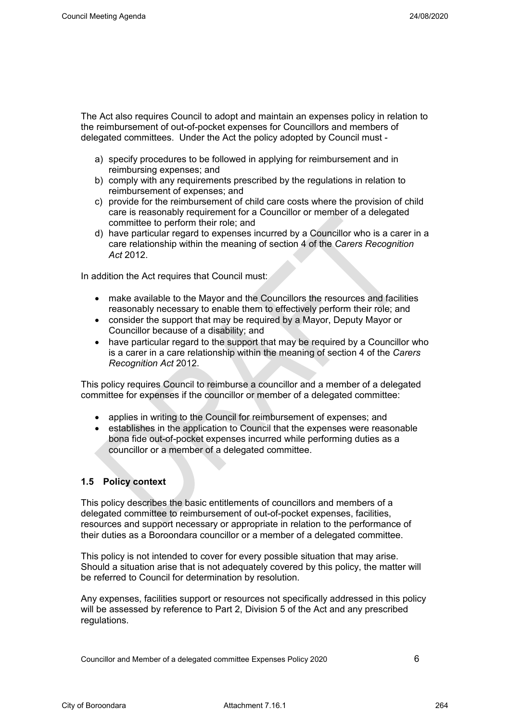The Act also requires Council to adopt and maintain an expenses policy in relation to the reimbursement of out-of-pocket expenses for Councillors and members of delegated committees. Under the Act the policy adopted by Council must -

- a) specify procedures to be followed in applying for reimbursement and in reimbursing expenses; and
- b) comply with any requirements prescribed by the regulations in relation to reimbursement of expenses; and
- c) provide for the reimbursement of child care costs where the provision of child care is reasonably requirement for a Councillor or member of a delegated committee to perform their role; and
- d) have particular regard to expenses incurred by a Councillor who is a carer in a care relationship within the meaning of section 4 of the *Carers Recognition Act* 2012.

In addition the Act requires that Council must:

- make available to the Mayor and the Councillors the resources and facilities reasonably necessary to enable them to effectively perform their role; and
- consider the support that may be required by a Mayor, Deputy Mayor or Councillor because of a disability; and
- have particular regard to the support that may be required by a Councillor who is a carer in a care relationship within the meaning of section 4 of the *Carers Recognition Act* 2012.

This policy requires Council to reimburse a councillor and a member of a delegated committee for expenses if the councillor or member of a delegated committee:

- applies in writing to the Council for reimbursement of expenses; and
- establishes in the application to Council that the expenses were reasonable bona fide out-of-pocket expenses incurred while performing duties as a councillor or a member of a delegated committee.

#### **1.5 Policy context**

This policy describes the basic entitlements of councillors and members of a delegated committee to reimbursement of out-of-pocket expenses, facilities, resources and support necessary or appropriate in relation to the performance of their duties as a Boroondara councillor or a member of a delegated committee.

This policy is not intended to cover for every possible situation that may arise. Should a situation arise that is not adequately covered by this policy, the matter will be referred to Council for determination by resolution.

Any expenses, facilities support or resources not specifically addressed in this policy will be assessed by reference to Part 2, Division 5 of the Act and any prescribed regulations.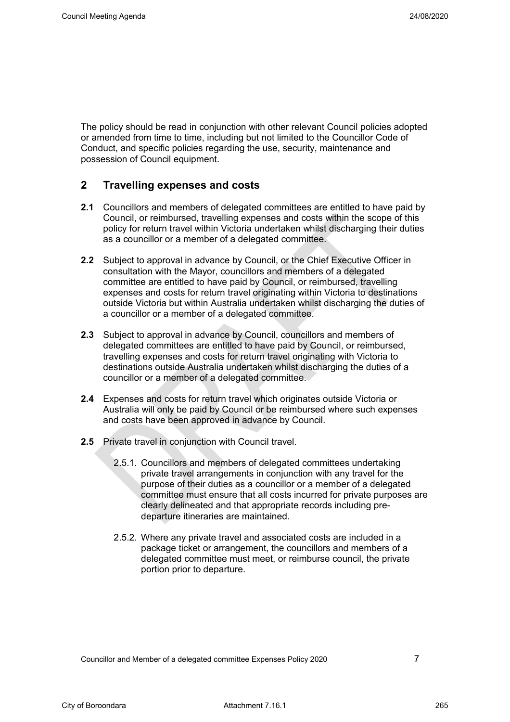The policy should be read in conjunction with other relevant Council policies adopted or amended from time to time, including but not limited to the Councillor Code of Conduct, and specific policies regarding the use, security, maintenance and possession of Council equipment.

#### <span id="page-10-0"></span>**2 Travelling expenses and costs**

- **2.1** Councillors and members of delegated committees are entitled to have paid by Council, or reimbursed, travelling expenses and costs within the scope of this policy for return travel within Victoria undertaken whilst discharging their duties as a councillor or a member of a delegated committee.
- **2.2** Subject to approval in advance by Council, or the Chief Executive Officer in consultation with the Mayor, councillors and members of a delegated committee are entitled to have paid by Council, or reimbursed, travelling expenses and costs for return travel originating within Victoria to destinations outside Victoria but within Australia undertaken whilst discharging the duties of a councillor or a member of a delegated committee.
- **2.3** Subject to approval in advance by Council, councillors and members of delegated committees are entitled to have paid by Council, or reimbursed, travelling expenses and costs for return travel originating with Victoria to destinations outside Australia undertaken whilst discharging the duties of a councillor or a member of a delegated committee.
- **2.4** Expenses and costs for return travel which originates outside Victoria or Australia will only be paid by Council or be reimbursed where such expenses and costs have been approved in advance by Council.
- **2.5** Private travel in conjunction with Council travel.
	- 2.5.1. Councillors and members of delegated committees undertaking private travel arrangements in conjunction with any travel for the purpose of their duties as a councillor or a member of a delegated committee must ensure that all costs incurred for private purposes are clearly delineated and that appropriate records including predeparture itineraries are maintained.
	- 2.5.2. Where any private travel and associated costs are included in a package ticket or arrangement, the councillors and members of a delegated committee must meet, or reimburse council, the private portion prior to departure.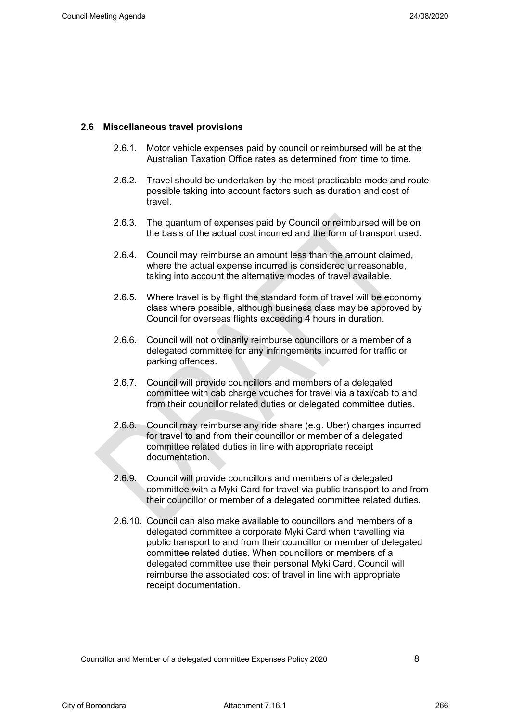#### **2.6 Miscellaneous travel provisions**

- 2.6.1. Motor vehicle expenses paid by council or reimbursed will be at the Australian Taxation Office rates as determined from time to time.
- 2.6.2. Travel should be undertaken by the most practicable mode and route possible taking into account factors such as duration and cost of travel.
- 2.6.3. The quantum of expenses paid by Council or reimbursed will be on the basis of the actual cost incurred and the form of transport used.
- 2.6.4. Council may reimburse an amount less than the amount claimed, where the actual expense incurred is considered unreasonable, taking into account the alternative modes of travel available.
- 2.6.5. Where travel is by flight the standard form of travel will be economy class where possible, although business class may be approved by Council for overseas flights exceeding 4 hours in duration.
- 2.6.6. Council will not ordinarily reimburse councillors or a member of a delegated committee for any infringements incurred for traffic or parking offences.
- 2.6.7. Council will provide councillors and members of a delegated committee with cab charge vouches for travel via a taxi/cab to and from their councillor related duties or delegated committee duties.
- 2.6.8. Council may reimburse any ride share (e.g. Uber) charges incurred for travel to and from their councillor or member of a delegated committee related duties in line with appropriate receipt documentation.
- 2.6.9. Council will provide councillors and members of a delegated committee with a Myki Card for travel via public transport to and from their councillor or member of a delegated committee related duties.
- 2.6.10. Council can also make available to councillors and members of a delegated committee a corporate Myki Card when travelling via public transport to and from their councillor or member of delegated committee related duties. When councillors or members of a delegated committee use their personal Myki Card, Council will reimburse the associated cost of travel in line with appropriate receipt documentation.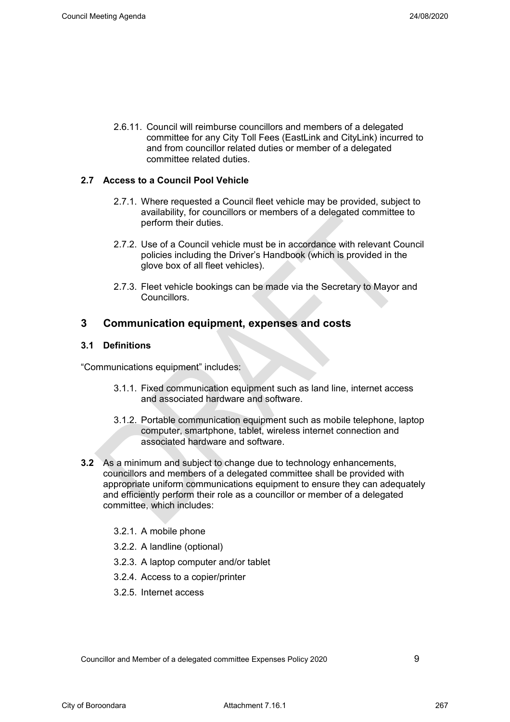2.6.11. Council will reimburse councillors and members of a delegated committee for any City Toll Fees (EastLink and CityLink) incurred to and from councillor related duties or member of a delegated committee related duties.

#### **2.7 Access to a Council Pool Vehicle**

- 2.7.1. Where requested a Council fleet vehicle may be provided, subject to availability, for councillors or members of a delegated committee to perform their duties.
- 2.7.2. Use of a Council vehicle must be in accordance with relevant Council policies including the Driver's Handbook (which is provided in the glove box of all fleet vehicles).
- 2.7.3. Fleet vehicle bookings can be made via the Secretary to Mayor and Councillors.

#### <span id="page-12-0"></span>**3 Communication equipment, expenses and costs**

#### **3.1 Definitions**

"Communications equipment" includes:

- 3.1.1. Fixed communication equipment such as land line, internet access and associated hardware and software.
- 3.1.2. Portable communication equipment such as mobile telephone, laptop computer, smartphone, tablet, wireless internet connection and associated hardware and software.
- **3.2** As a minimum and subject to change due to technology enhancements, councillors and members of a delegated committee shall be provided with appropriate uniform communications equipment to ensure they can adequately and efficiently perform their role as a councillor or member of a delegated committee, which includes:
	- 3.2.1. A mobile phone
	- 3.2.2. A landline (optional)
	- 3.2.3. A laptop computer and/or tablet
	- 3.2.4. Access to a copier/printer
	- 3.2.5. Internet access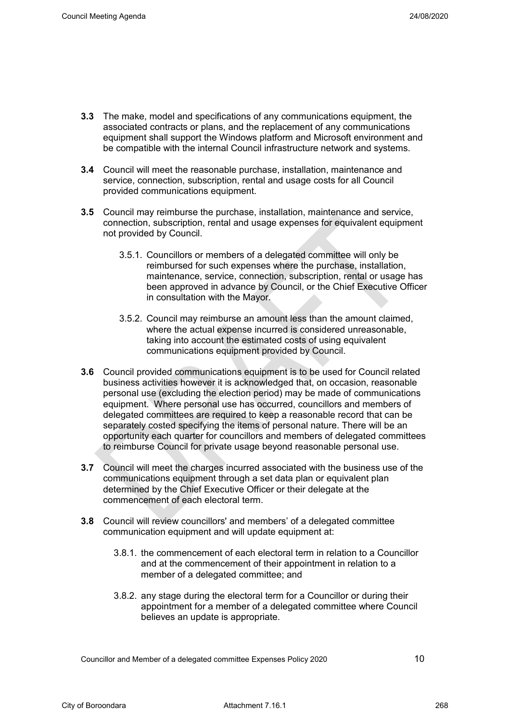- **3.3** The make, model and specifications of any communications equipment, the associated contracts or plans, and the replacement of any communications equipment shall support the Windows platform and Microsoft environment and be compatible with the internal Council infrastructure network and systems.
- **3.4** Council will meet the reasonable purchase, installation, maintenance and service, connection, subscription, rental and usage costs for all Council provided communications equipment.
- **3.5** Council may reimburse the purchase, installation, maintenance and service, connection, subscription, rental and usage expenses for equivalent equipment not provided by Council.
	- 3.5.1. Councillors or members of a delegated committee will only be reimbursed for such expenses where the purchase, installation, maintenance, service, connection, subscription, rental or usage has been approved in advance by Council, or the Chief Executive Officer in consultation with the Mayor.
	- 3.5.2. Council may reimburse an amount less than the amount claimed, where the actual expense incurred is considered unreasonable, taking into account the estimated costs of using equivalent communications equipment provided by Council.
- **3.6** Council provided communications equipment is to be used for Council related business activities however it is acknowledged that, on occasion, reasonable personal use (excluding the election period) may be made of communications equipment. Where personal use has occurred, councillors and members of delegated committees are required to keep a reasonable record that can be separately costed specifying the items of personal nature. There will be an opportunity each quarter for councillors and members of delegated committees to reimburse Council for private usage beyond reasonable personal use.
- **3.7** Council will meet the charges incurred associated with the business use of the communications equipment through a set data plan or equivalent plan determined by the Chief Executive Officer or their delegate at the commencement of each electoral term.
- **3.8** Council will review councillors' and members' of a delegated committee communication equipment and will update equipment at:
	- 3.8.1. the commencement of each electoral term in relation to a Councillor and at the commencement of their appointment in relation to a member of a delegated committee; and
	- 3.8.2. any stage during the electoral term for a Councillor or during their appointment for a member of a delegated committee where Council believes an update is appropriate.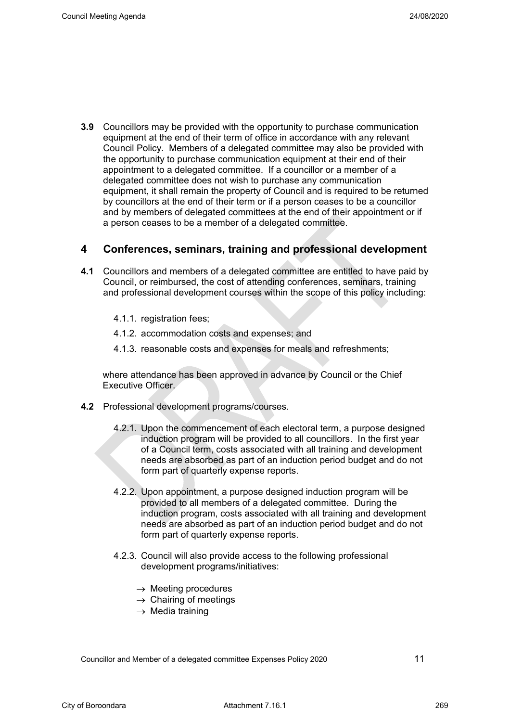**3.9** Councillors may be provided with the opportunity to purchase communication equipment at the end of their term of office in accordance with any relevant Council Policy. Members of a delegated committee may also be provided with the opportunity to purchase communication equipment at their end of their appointment to a delegated committee. If a councillor or a member of a delegated committee does not wish to purchase any communication equipment, it shall remain the property of Council and is required to be returned by councillors at the end of their term or if a person ceases to be a councillor and by members of delegated committees at the end of their appointment or if a person ceases to be a member of a delegated committee.

#### <span id="page-14-0"></span>**4 Conferences, seminars, training and professional development**

- **4.1** Councillors and members of a delegated committee are entitled to have paid by Council, or reimbursed, the cost of attending conferences, seminars, training and professional development courses within the scope of this policy including:
	- 4.1.1. registration fees;
	- 4.1.2. accommodation costs and expenses; and
	- 4.1.3. reasonable costs and expenses for meals and refreshments;

where attendance has been approved in advance by Council or the Chief Executive Officer.

- **4.2** Professional development programs/courses.
	- 4.2.1. Upon the commencement of each electoral term, a purpose designed induction program will be provided to all councillors. In the first year of a Council term, costs associated with all training and development needs are absorbed as part of an induction period budget and do not form part of quarterly expense reports.
	- 4.2.2. Upon appointment, a purpose designed induction program will be provided to all members of a delegated committee. During the induction program, costs associated with all training and development needs are absorbed as part of an induction period budget and do not form part of quarterly expense reports.
	- 4.2.3. Council will also provide access to the following professional development programs/initiatives:
		- $\rightarrow$  Meeting procedures
		- $\rightarrow$  Chairing of meetings
		- $\rightarrow$  Media training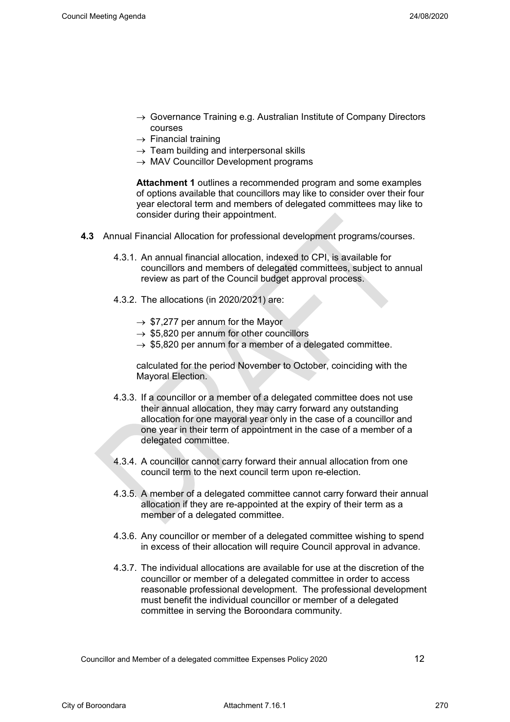- $\rightarrow$  Governance Training e.g. Australian Institute of Company Directors courses
- $\rightarrow$  Financial training
- $\rightarrow$  Team building and interpersonal skills
- $\rightarrow$  MAV Councillor Development programs

**Attachment 1** outlines a recommended program and some examples of options available that councillors may like to consider over their four year electoral term and members of delegated committees may like to consider during their appointment.

- **4.3** Annual Financial Allocation for professional development programs/courses.
	- 4.3.1. An annual financial allocation, indexed to CPI, is available for councillors and members of delegated committees, subject to annual review as part of the Council budget approval process.
	- 4.3.2. The allocations (in 2020/2021) are:
		- $\rightarrow$  \$7,277 per annum for the Mayor
		- $\rightarrow$  \$5,820 per annum for other councillors
		- $\rightarrow$  \$5,820 per annum for a member of a delegated committee.

calculated for the period November to October, coinciding with the Mayoral Election.

- 4.3.3. If a councillor or a member of a delegated committee does not use their annual allocation, they may carry forward any outstanding allocation for one mayoral year only in the case of a councillor and one year in their term of appointment in the case of a member of a delegated committee.
- 4.3.4. A councillor cannot carry forward their annual allocation from one council term to the next council term upon re-election.
- 4.3.5. A member of a delegated committee cannot carry forward their annual allocation if they are re-appointed at the expiry of their term as a member of a delegated committee.
- 4.3.6. Any councillor or member of a delegated committee wishing to spend in excess of their allocation will require Council approval in advance.
- 4.3.7. The individual allocations are available for use at the discretion of the councillor or member of a delegated committee in order to access reasonable professional development. The professional development must benefit the individual councillor or member of a delegated committee in serving the Boroondara community.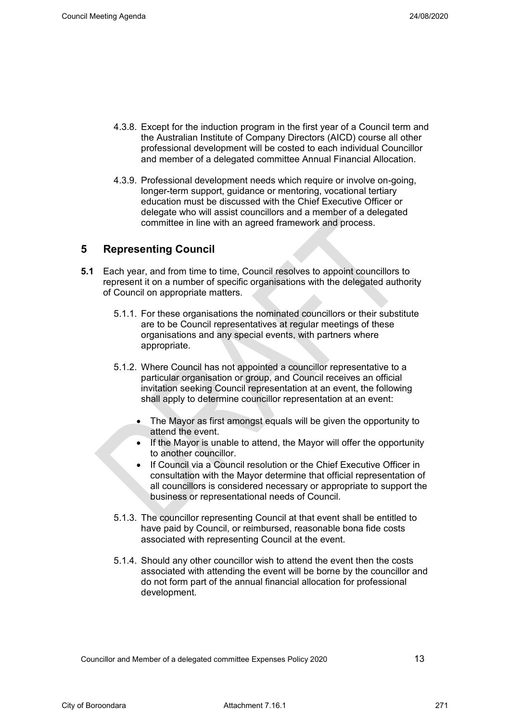- 4.3.8. Except for the induction program in the first year of a Council term and the Australian Institute of Company Directors (AICD) course all other professional development will be costed to each individual Councillor and member of a delegated committee Annual Financial Allocation.
- 4.3.9. Professional development needs which require or involve on-going, longer-term support, guidance or mentoring, vocational tertiary education must be discussed with the Chief Executive Officer or delegate who will assist councillors and a member of a delegated committee in line with an agreed framework and process.

#### <span id="page-16-0"></span>**5 Representing Council**

- **5.1** Each year, and from time to time, Council resolves to appoint councillors to represent it on a number of specific organisations with the delegated authority of Council on appropriate matters.
	- 5.1.1. For these organisations the nominated councillors or their substitute are to be Council representatives at regular meetings of these organisations and any special events, with partners where appropriate.
	- 5.1.2. Where Council has not appointed a councillor representative to a particular organisation or group, and Council receives an official invitation seeking Council representation at an event, the following shall apply to determine councillor representation at an event:
		- The Mayor as first amongst equals will be given the opportunity to attend the event.
		- If the Mayor is unable to attend, the Mayor will offer the opportunity to another councillor.
		- If Council via a Council resolution or the Chief Executive Officer in consultation with the Mayor determine that official representation of all councillors is considered necessary or appropriate to support the business or representational needs of Council.
	- 5.1.3. The councillor representing Council at that event shall be entitled to have paid by Council, or reimbursed, reasonable bona fide costs associated with representing Council at the event.
	- 5.1.4. Should any other councillor wish to attend the event then the costs associated with attending the event will be borne by the councillor and do not form part of the annual financial allocation for professional development.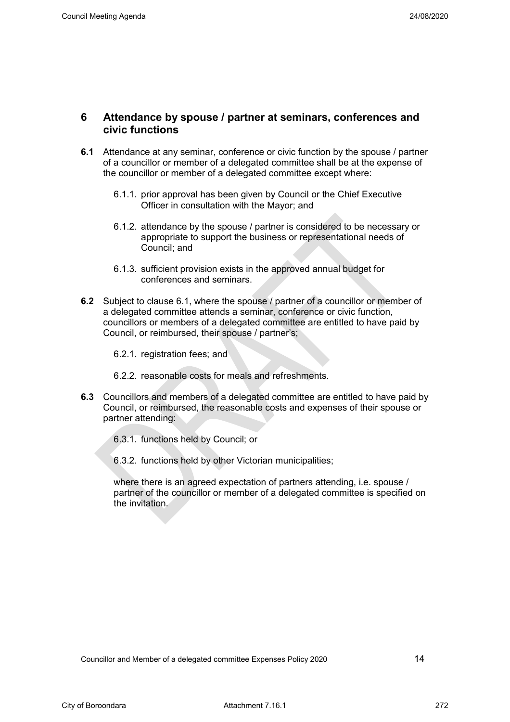#### <span id="page-17-0"></span>**6 Attendance by spouse / partner at seminars, conferences and civic functions**

- **6.1** Attendance at any seminar, conference or civic function by the spouse / partner of a councillor or member of a delegated committee shall be at the expense of the councillor or member of a delegated committee except where:
	- 6.1.1. prior approval has been given by Council or the Chief Executive Officer in consultation with the Mayor; and
	- 6.1.2. attendance by the spouse / partner is considered to be necessary or appropriate to support the business or representational needs of Council; and
	- 6.1.3. sufficient provision exists in the approved annual budget for conferences and seminars.
- **6.2** Subject to clause 6.1, where the spouse / partner of a councillor or member of a delegated committee attends a seminar, conference or civic function, councillors or members of a delegated committee are entitled to have paid by Council, or reimbursed, their spouse / partner's;
	- 6.2.1. registration fees; and
	- 6.2.2. reasonable costs for meals and refreshments.
- **6.3** Councillors and members of a delegated committee are entitled to have paid by Council, or reimbursed, the reasonable costs and expenses of their spouse or partner attending:

6.3.1. functions held by Council; or

6.3.2. functions held by other Victorian municipalities;

where there is an agreed expectation of partners attending, i.e. spouse / partner of the councillor or member of a delegated committee is specified on the invitation.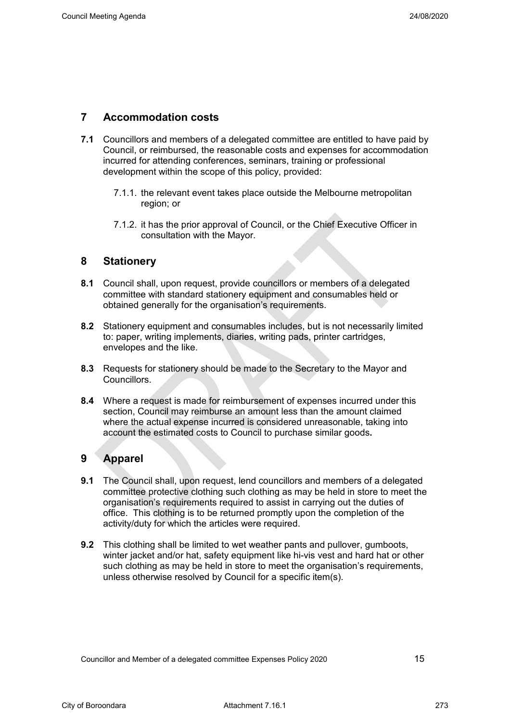#### <span id="page-18-0"></span>**7 Accommodation costs**

- **7.1** Councillors and members of a delegated committee are entitled to have paid by Council, or reimbursed, the reasonable costs and expenses for accommodation incurred for attending conferences, seminars, training or professional development within the scope of this policy, provided:
	- 7.1.1. the relevant event takes place outside the Melbourne metropolitan region; or
	- 7.1.2. it has the prior approval of Council, or the Chief Executive Officer in consultation with the Mayor.

#### <span id="page-18-1"></span>**8 Stationery**

- **8.1** Council shall, upon request, provide councillors or members of a delegated committee with standard stationery equipment and consumables held or obtained generally for the organisation's requirements.
- **8.2** Stationery equipment and consumables includes, but is not necessarily limited to: paper, writing implements, diaries, writing pads, printer cartridges, envelopes and the like.
- **8.3** Requests for stationery should be made to the Secretary to the Mayor and Councillors.
- **8.4** Where a request is made for reimbursement of expenses incurred under this section, Council may reimburse an amount less than the amount claimed where the actual expense incurred is considered unreasonable, taking into account the estimated costs to Council to purchase similar goods**.**

#### <span id="page-18-2"></span>**9 Apparel**

- **9.1** The Council shall, upon request, lend councillors and members of a delegated committee protective clothing such clothing as may be held in store to meet the organisation's requirements required to assist in carrying out the duties of office. This clothing is to be returned promptly upon the completion of the activity/duty for which the articles were required.
- **9.2** This clothing shall be limited to wet weather pants and pullover, gumboots, winter jacket and/or hat, safety equipment like hi-vis vest and hard hat or other such clothing as may be held in store to meet the organisation's requirements, unless otherwise resolved by Council for a specific item(s).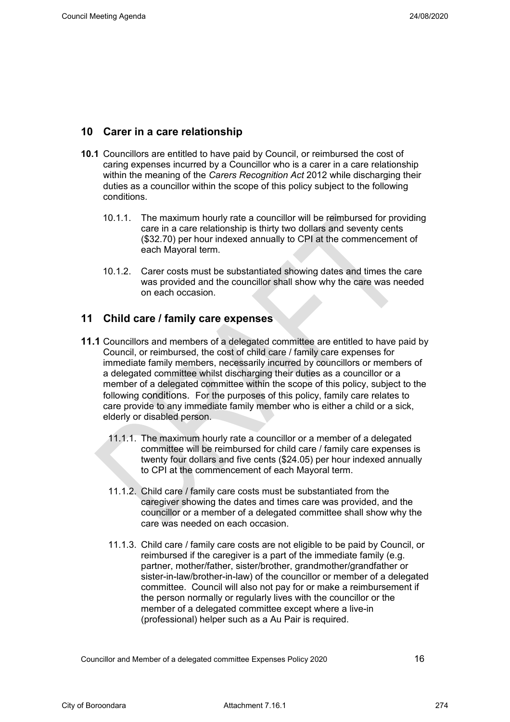#### <span id="page-19-0"></span>**10 Carer in a care relationship**

- **10.1** Councillors are entitled to have paid by Council, or reimbursed the cost of caring expenses incurred by a Councillor who is a carer in a care relationship within the meaning of the *Carers Recognition Act* 2012 while discharging their duties as a councillor within the scope of this policy subject to the following conditions.
	- 10.1.1. The maximum hourly rate a councillor will be reimbursed for providing care in a care relationship is thirty two dollars and seventy cents (\$32.70) per hour indexed annually to CPI at the commencement of each Mayoral term.
	- 10.1.2. Carer costs must be substantiated showing dates and times the care was provided and the councillor shall show why the care was needed on each occasion.

#### <span id="page-19-1"></span>**11 Child care / family care expenses**

- **11.1** Councillors and members of a delegated committee are entitled to have paid by Council, or reimbursed, the cost of child care / family care expenses for immediate family members, necessarily incurred by councillors or members of a delegated committee whilst discharging their duties as a councillor or a member of a delegated committee within the scope of this policy, subject to the following conditions. For the purposes of this policy, family care relates to care provide to any immediate family member who is either a child or a sick, elderly or disabled person.
	- 11.1.1. The maximum hourly rate a councillor or a member of a delegated committee will be reimbursed for child care / family care expenses is twenty four dollars and five cents (\$24.05) per hour indexed annually to CPI at the commencement of each Mayoral term.
	- 11.1.2. Child care / family care costs must be substantiated from the caregiver showing the dates and times care was provided, and the councillor or a member of a delegated committee shall show why the care was needed on each occasion.
	- 11.1.3. Child care / family care costs are not eligible to be paid by Council, or reimbursed if the caregiver is a part of the immediate family (e.g. partner, mother/father, sister/brother, grandmother/grandfather or sister-in-law/brother-in-law) of the councillor or member of a delegated committee. Council will also not pay for or make a reimbursement if the person normally or regularly lives with the councillor or the member of a delegated committee except where a live-in (professional) helper such as a Au Pair is required.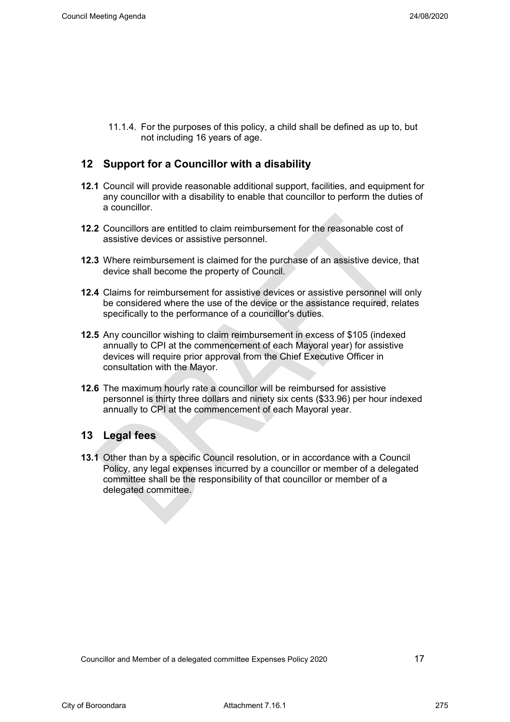11.1.4. For the purposes of this policy, a child shall be defined as up to, but not including 16 years of age.

#### <span id="page-20-0"></span>**12 Support for a Councillor with a disability**

- **12.1** Council will provide reasonable additional support, facilities, and equipment for any councillor with a disability to enable that councillor to perform the duties of a councillor.
- **12.2** Councillors are entitled to claim reimbursement for the reasonable cost of assistive devices or assistive personnel.
- **12.3** Where reimbursement is claimed for the purchase of an assistive device, that device shall become the property of Council.
- **12.4** Claims for reimbursement for assistive devices or assistive personnel will only be considered where the use of the device or the assistance required, relates specifically to the performance of a councillor's duties.
- **12.5** Any councillor wishing to claim reimbursement in excess of \$105 (indexed annually to CPI at the commencement of each Mayoral year) for assistive devices will require prior approval from the Chief Executive Officer in consultation with the Mayor.
- **12.6** The maximum hourly rate a councillor will be reimbursed for assistive personnel is thirty three dollars and ninety six cents (\$33.96) per hour indexed annually to CPI at the commencement of each Mayoral year.

#### <span id="page-20-1"></span>**13 Legal fees**

**13.1** Other than by a specific Council resolution, or in accordance with a Council Policy, any legal expenses incurred by a councillor or member of a delegated committee shall be the responsibility of that councillor or member of a delegated committee.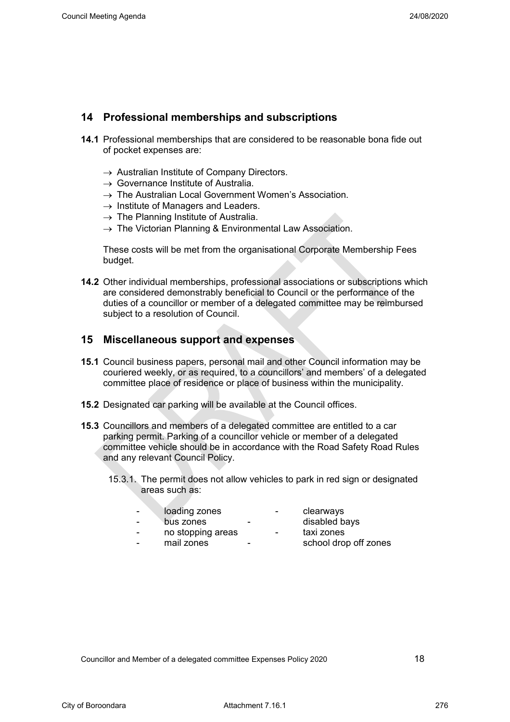#### <span id="page-21-0"></span>**14 Professional memberships and subscriptions**

- **14.1** Professional memberships that are considered to be reasonable bona fide out of pocket expenses are:
	- $\rightarrow$  Australian Institute of Company Directors.
	- $\rightarrow$  Governance Institute of Australia.
	- $\rightarrow$  The Australian Local Government Women's Association.
	- $\rightarrow$  Institute of Managers and Leaders.
	- $\rightarrow$  The Planning Institute of Australia.
	- $\rightarrow$  The Victorian Planning & Environmental Law Association.

These costs will be met from the organisational Corporate Membership Fees budget.

**14.2** Other individual memberships, professional associations or subscriptions which are considered demonstrably beneficial to Council or the performance of the duties of a councillor or member of a delegated committee may be reimbursed subject to a resolution of Council.

#### <span id="page-21-1"></span>**15 Miscellaneous support and expenses**

- **15.1** Council business papers, personal mail and other Council information may be couriered weekly, or as required, to a councillors' and members' of a delegated committee place of residence or place of business within the municipality.
- **15.2** Designated car parking will be available at the Council offices.
- **15.3** Councillors and members of a delegated committee are entitled to a car parking permit. Parking of a councillor vehicle or member of a delegated committee vehicle should be in accordance with the Road Safety Road Rules and any relevant Council Policy.
	- 15.3.1. The permit does not allow vehicles to park in red sign or designated areas such as:
		- loading zones clearways<br>- bus zones disabled bavs
		- bus zones
		- no stopping areas taxi zones<br>- mail zones school drou
		-
- -
- - school drop off zones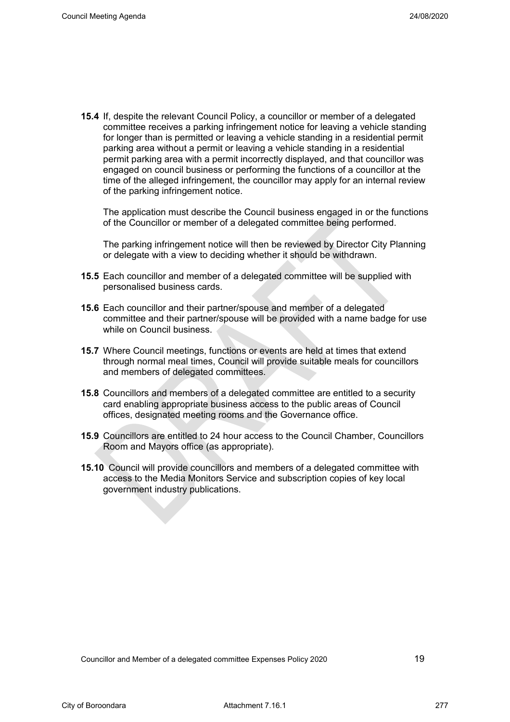**15.4** If, despite the relevant Council Policy, a councillor or member of a delegated committee receives a parking infringement notice for leaving a vehicle standing for longer than is permitted or leaving a vehicle standing in a residential permit parking area without a permit or leaving a vehicle standing in a residential permit parking area with a permit incorrectly displayed, and that councillor was engaged on council business or performing the functions of a councillor at the time of the alleged infringement, the councillor may apply for an internal review of the parking infringement notice.

The application must describe the Council business engaged in or the functions of the Councillor or member of a delegated committee being performed.

The parking infringement notice will then be reviewed by Director City Planning or delegate with a view to deciding whether it should be withdrawn.

- **15.5** Each councillor and member of a delegated committee will be supplied with personalised business cards.
- **15.6** Each councillor and their partner/spouse and member of a delegated committee and their partner/spouse will be provided with a name badge for use while on Council business.
- **15.7** Where Council meetings, functions or events are held at times that extend through normal meal times, Council will provide suitable meals for councillors and members of delegated committees.
- **15.8** Councillors and members of a delegated committee are entitled to a security card enabling appropriate business access to the public areas of Council offices, designated meeting rooms and the Governance office.
- **15.9** Councillors are entitled to 24 hour access to the Council Chamber, Councillors Room and Mayors office (as appropriate).
- **15.10** Council will provide councillors and members of a delegated committee with access to the Media Monitors Service and subscription copies of key local government industry publications.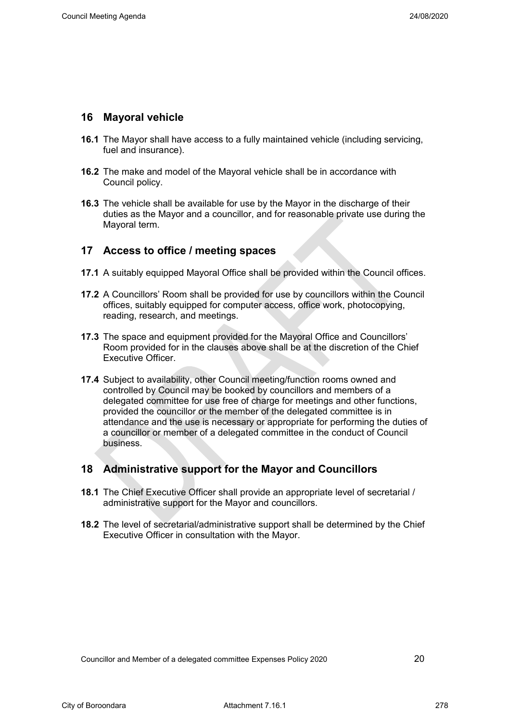#### <span id="page-23-0"></span>**16 Mayoral vehicle**

- **16.1** The Mayor shall have access to a fully maintained vehicle (including servicing, fuel and insurance).
- **16.2** The make and model of the Mayoral vehicle shall be in accordance with Council policy.
- **16.3** The vehicle shall be available for use by the Mayor in the discharge of their duties as the Mayor and a councillor, and for reasonable private use during the Mayoral term.

#### <span id="page-23-1"></span>**17 Access to office / meeting spaces**

- **17.1** A suitably equipped Mayoral Office shall be provided within the Council offices.
- **17.2** A Councillors' Room shall be provided for use by councillors within the Council offices, suitably equipped for computer access, office work, photocopying, reading, research, and meetings.
- **17.3** The space and equipment provided for the Mayoral Office and Councillors' Room provided for in the clauses above shall be at the discretion of the Chief Executive Officer.
- **17.4** Subject to availability, other Council meeting/function rooms owned and controlled by Council may be booked by councillors and members of a delegated committee for use free of charge for meetings and other functions, provided the councillor or the member of the delegated committee is in attendance and the use is necessary or appropriate for performing the duties of a councillor or member of a delegated committee in the conduct of Council business.

#### <span id="page-23-2"></span>**18 Administrative support for the Mayor and Councillors**

- **18.1** The Chief Executive Officer shall provide an appropriate level of secretarial / administrative support for the Mayor and councillors.
- **18.2** The level of secretarial/administrative support shall be determined by the Chief Executive Officer in consultation with the Mayor.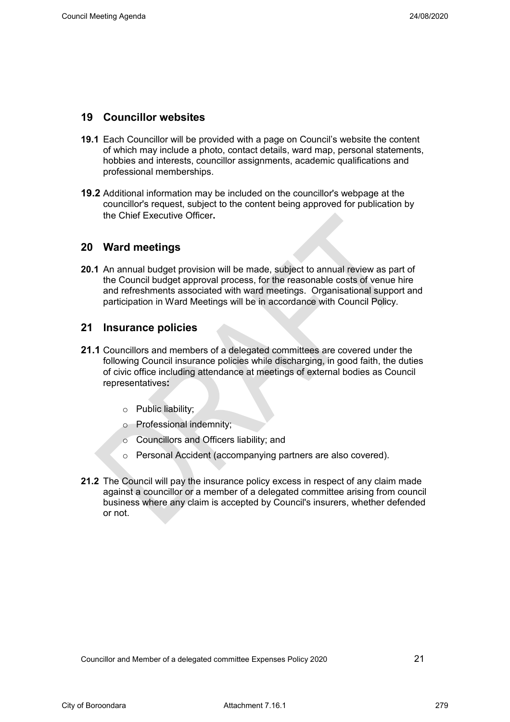#### <span id="page-24-0"></span>**19 Councillor websites**

- **19.1** Each Councillor will be provided with a page on Council's website the content of which may include a photo, contact details, ward map, personal statements, hobbies and interests, councillor assignments, academic qualifications and professional memberships.
- **19.2** Additional information may be included on the councillor's webpage at the councillor's request, subject to the content being approved for publication by the Chief Executive Officer**.**

#### <span id="page-24-1"></span>**20 Ward meetings**

**20.1** An annual budget provision will be made, subject to annual review as part of the Council budget approval process, for the reasonable costs of venue hire and refreshments associated with ward meetings. Organisational support and participation in Ward Meetings will be in accordance with Council Policy.

#### <span id="page-24-2"></span>**21 Insurance policies**

- **21.1** Councillors and members of a delegated committees are covered under the following Council insurance policies while discharging, in good faith, the duties of civic office including attendance at meetings of external bodies as Council representatives**:**
	- o Public liability;
	- o Professional indemnity;
	- o Councillors and Officers liability; and
	- o Personal Accident (accompanying partners are also covered).
- **21.2** The Council will pay the insurance policy excess in respect of any claim made against a councillor or a member of a delegated committee arising from council business where any claim is accepted by Council's insurers, whether defended or not.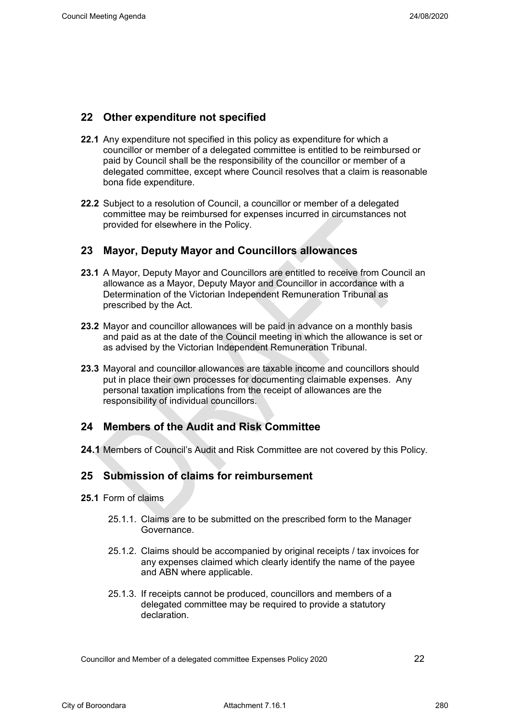#### <span id="page-25-0"></span>**22 Other expenditure not specified**

- **22.1** Any expenditure not specified in this policy as expenditure for which a councillor or member of a delegated committee is entitled to be reimbursed or paid by Council shall be the responsibility of the councillor or member of a delegated committee, except where Council resolves that a claim is reasonable bona fide expenditure.
- **22.2** Subject to a resolution of Council, a councillor or member of a delegated committee may be reimbursed for expenses incurred in circumstances not provided for elsewhere in the Policy.

#### <span id="page-25-1"></span>**23 Mayor, Deputy Mayor and Councillors allowances**

- **23.1** A Mayor, Deputy Mayor and Councillors are entitled to receive from Council an allowance as a Mayor, Deputy Mayor and Councillor in accordance with a Determination of the Victorian Independent Remuneration Tribunal as prescribed by the Act.
- **23.2** Mayor and councillor allowances will be paid in advance on a monthly basis and paid as at the date of the Council meeting in which the allowance is set or as advised by the Victorian Independent Remuneration Tribunal.
- **23.3** Mayoral and councillor allowances are taxable income and councillors should put in place their own processes for documenting claimable expenses. Any personal taxation implications from the receipt of allowances are the responsibility of individual councillors.

#### <span id="page-25-2"></span>**24 Members of the Audit and Risk Committee**

**24.1** Members of Council's Audit and Risk Committee are not covered by this Policy.

#### <span id="page-25-3"></span>**25 Submission of claims for reimbursement**

- **25.1** Form of claims
	- 25.1.1. Claims are to be submitted on the prescribed form to the Manager Governance.
	- 25.1.2. Claims should be accompanied by original receipts / tax invoices for any expenses claimed which clearly identify the name of the payee and ABN where applicable.
	- 25.1.3. If receipts cannot be produced, councillors and members of a delegated committee may be required to provide a statutory declaration.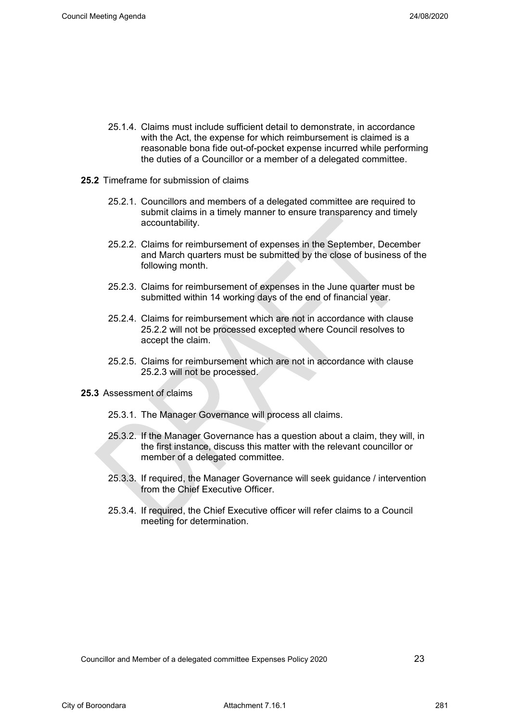- 25.1.4. Claims must include sufficient detail to demonstrate, in accordance with the Act, the expense for which reimbursement is claimed is a reasonable bona fide out-of-pocket expense incurred while performing the duties of a Councillor or a member of a delegated committee.
- **25.2** Timeframe for submission of claims
	- 25.2.1. Councillors and members of a delegated committee are required to submit claims in a timely manner to ensure transparency and timely accountability.
	- 25.2.2. Claims for reimbursement of expenses in the September, December and March quarters must be submitted by the close of business of the following month.
	- 25.2.3. Claims for reimbursement of expenses in the June quarter must be submitted within 14 working days of the end of financial year.
	- 25.2.4. Claims for reimbursement which are not in accordance with clause 25.2.2 will not be processed excepted where Council resolves to accept the claim.
	- 25.2.5. Claims for reimbursement which are not in accordance with clause 25.2.3 will not be processed.
- **25.3** Assessment of claims
	- 25.3.1. The Manager Governance will process all claims.
	- 25.3.2. If the Manager Governance has a question about a claim, they will, in the first instance, discuss this matter with the relevant councillor or member of a delegated committee.
	- 25.3.3. If required, the Manager Governance will seek guidance / intervention from the Chief Executive Officer.
	- 25.3.4. If required, the Chief Executive officer will refer claims to a Council meeting for determination.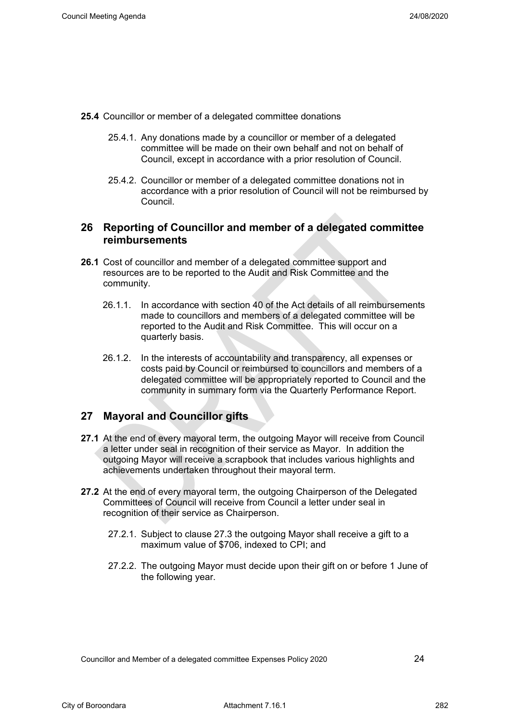- **25.4** Councillor or member of a delegated committee donations
	- 25.4.1. Any donations made by a councillor or member of a delegated committee will be made on their own behalf and not on behalf of Council, except in accordance with a prior resolution of Council.
	- 25.4.2. Councillor or member of a delegated committee donations not in accordance with a prior resolution of Council will not be reimbursed by Council.

#### <span id="page-27-0"></span>**26 Reporting of Councillor and member of a delegated committee reimbursements**

- **26.1** Cost of councillor and member of a delegated committee support and resources are to be reported to the Audit and Risk Committee and the community.
	- 26.1.1. In accordance with section 40 of the Act details of all reimbursements made to councillors and members of a delegated committee will be reported to the Audit and Risk Committee. This will occur on a quarterly basis.
	- 26.1.2. In the interests of accountability and transparency, all expenses or costs paid by Council or reimbursed to councillors and members of a delegated committee will be appropriately reported to Council and the community in summary form via the Quarterly Performance Report.

#### <span id="page-27-1"></span>**27 Mayoral and Councillor gifts**

- **27.1** At the end of every mayoral term, the outgoing Mayor will receive from Council a letter under seal in recognition of their service as Mayor. In addition the outgoing Mayor will receive a scrapbook that includes various highlights and achievements undertaken throughout their mayoral term.
- **27.2** At the end of every mayoral term, the outgoing Chairperson of the Delegated Committees of Council will receive from Council a letter under seal in recognition of their service as Chairperson.
	- 27.2.1. Subject to clause 27.3 the outgoing Mayor shall receive a gift to a maximum value of \$706, indexed to CPI; and
	- 27.2.2. The outgoing Mayor must decide upon their gift on or before 1 June of the following year.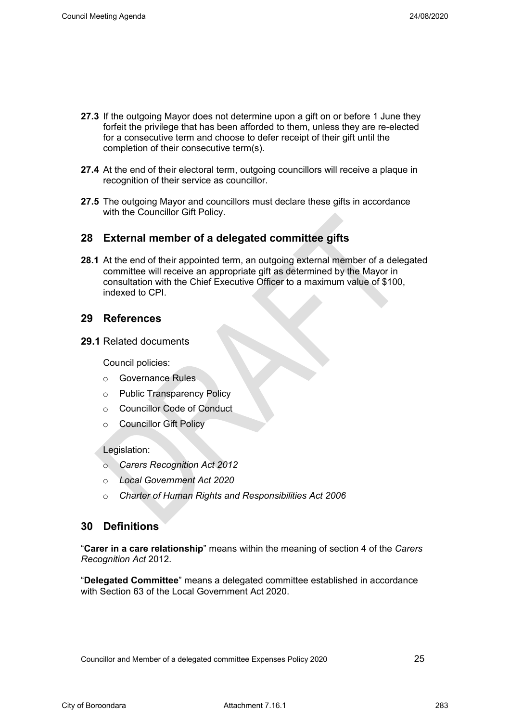- **27.3** If the outgoing Mayor does not determine upon a gift on or before 1 June they forfeit the privilege that has been afforded to them, unless they are re-elected for a consecutive term and choose to defer receipt of their gift until the completion of their consecutive term(s).
- **27.4** At the end of their electoral term, outgoing councillors will receive a plaque in recognition of their service as councillor.
- <span id="page-28-0"></span>**27.5** The outgoing Mayor and councillors must declare these gifts in accordance with the Councillor Gift Policy.

#### **28 External member of a delegated committee gifts**

**28.1** At the end of their appointed term, an outgoing external member of a delegated committee will receive an appropriate gift as determined by the Mayor in consultation with the Chief Executive Officer to a maximum value of \$100, indexed to CPI.

#### <span id="page-28-1"></span>**29 References**

**29.1** Related documents

Council policies:

- o Governance Rules
- o Public Transparency Policy
- o Councillor Code of Conduct
- o Councillor Gift Policy

Legislation:

- o *Carers Recognition Act 2012*
- o *Local Government Act 2020*
- o *Charter of Human Rights and Responsibilities Act 2006*

#### **30 Definitions**

<span id="page-28-2"></span>"**Carer in a care relationship**" means within the meaning of section 4 of the *Carers Recognition Act* 2012.

"**Delegated Committee**" means a delegated committee established in accordance with Section 63 of the Local Government Act 2020.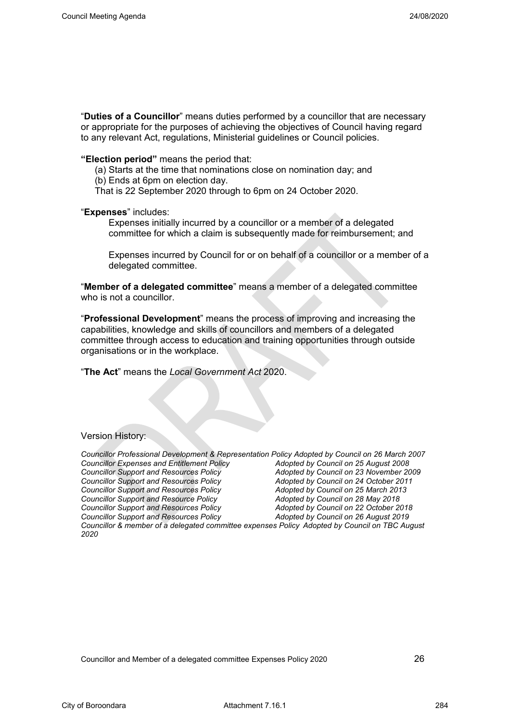"**Duties of a Councillor**" means duties performed by a councillor that are necessary or appropriate for the purposes of achieving the objectives of Council having regard to any relevant Act, regulations, Ministerial guidelines or Council policies.

**"Election period"** means the period that:

- (a) Starts at the time that nominations close on nomination day; and
- (b) Ends at 6pm on election day.
- That is 22 September 2020 through to 6pm on 24 October 2020.

#### "**Expenses**" includes:

Expenses initially incurred by a councillor or a member of a delegated committee for which a claim is subsequently made for reimbursement; and

Expenses incurred by Council for or on behalf of a councillor or a member of a delegated committee.

"**Member of a delegated committee**" means a member of a delegated committee who is not a councillor.

"**Professional Development**" means the process of improving and increasing the capabilities, knowledge and skills of councillors and members of a delegated committee through access to education and training opportunities through outside organisations or in the workplace.

"**The Act**" means the *Local Government Act* 2020.

#### Version History:

| Councillor Professional Development & Representation Policy Adopted by Council on 26 March 2007       |                                        |
|-------------------------------------------------------------------------------------------------------|----------------------------------------|
| <b>Councillor Expenses and Entitlement Policy</b>                                                     | Adopted by Council on 25 August 2008   |
| <b>Councillor Support and Resources Policy</b>                                                        | Adopted by Council on 23 November 2009 |
| <b>Councillor Support and Resources Policy</b>                                                        | Adopted by Council on 24 October 2011  |
| <b>Councillor Support and Resources Policy</b>                                                        | Adopted by Council on 25 March 2013    |
| <b>Councillor Support and Resource Policy</b>                                                         | Adopted by Council on 28 May 2018      |
| <b>Councillor Support and Resources Policy</b>                                                        | Adopted by Council on 22 October 2018  |
| <b>Councillor Support and Resources Policy</b>                                                        | Adopted by Council on 26 August 2019   |
| Councillor & member of a delegated committee expenses Policy Adopted by Council on TBC August<br>2020 |                                        |